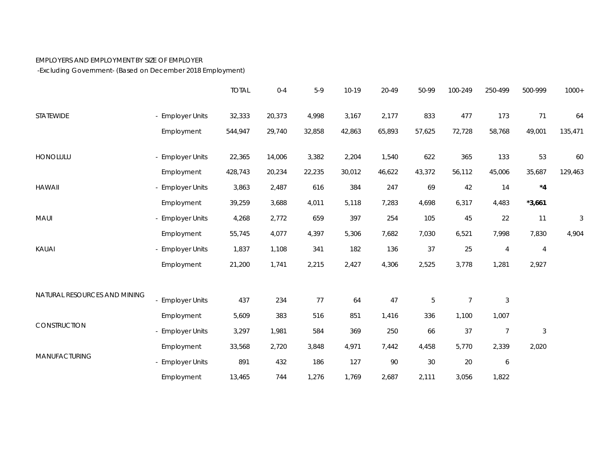## EMPLOYERS AND EMPLOYMENT BY SIZE OF EMPLOYER

-Excluding Government- (Based on December 2018 Employment)

|                              |                       | <b>TOTAL</b> | $0 - 4$ | $5-9$  | 10-19  | 20-49  | 50-99       | 100-249        | 250-499          | 500-999        | $1000+$ |
|------------------------------|-----------------------|--------------|---------|--------|--------|--------|-------------|----------------|------------------|----------------|---------|
| STATEWIDE                    | - Employer Units      | 32,333       | 20,373  | 4,998  | 3,167  | 2,177  | 833         | 477            | 173              | 71             | 64      |
|                              | Employment            | 544,947      | 29,740  | 32,858 | 42,863 | 65,893 | 57,625      | 72,728         | 58,768           | 49,001         | 135,471 |
| HONOLULU                     | - Employer Units      | 22,365       | 14,006  | 3,382  | 2,204  | 1,540  | 622         | 365            | 133              | 53             | 60      |
|                              | Employment            | 428,743      | 20,234  | 22,235 | 30,012 | 46,622 | 43,372      | 56,112         | 45,006           | 35,687         | 129,463 |
| <b>HAWAII</b>                | - Employer Units      | 3,863        | 2,487   | 616    | 384    | 247    | 69          | 42             | 14               | $^{\star}4$    |         |
|                              | Employment            | 39,259       | 3,688   | 4,011  | 5,118  | 7,283  | 4,698       | 6,317          | 4,483            | $*3,661$       |         |
| <b>MAUI</b>                  | <b>Employer Units</b> | 4,268        | 2,772   | 659    | 397    | 254    | 105         | 45             | 22               | 11             | 3       |
|                              | Employment            | 55,745       | 4,077   | 4,397  | 5,306  | 7,682  | 7,030       | 6,521          | 7,998            | 7,830          | 4,904   |
| KAUAI                        | - Employer Units      | 1,837        | 1,108   | 341    | 182    | 136    | 37          | 25             | 4                | $\overline{4}$ |         |
|                              | Employment            | 21,200       | 1,741   | 2,215  | 2,427  | 4,306  | 2,525       | 3,778          | 1,281            | 2,927          |         |
| NATURAL RESOURCES AND MINING |                       |              |         |        |        |        |             |                |                  |                |         |
|                              | <b>Employer Units</b> | 437          | 234     | 77     | 64     | 47     | $\mathbf 5$ | $\overline{7}$ | $\sqrt{3}$       |                |         |
| CONSTRUCTION                 | Employment            | 5,609        | 383     | 516    | 851    | 1,416  | 336         | 1,100          | 1,007            |                |         |
|                              | <b>Employer Units</b> | 3,297        | 1,981   | 584    | 369    | 250    | 66          | 37             | $\overline{7}$   | $\sqrt{3}$     |         |
| <b>MANUFACTURING</b>         | Employment            | 33,568       | 2,720   | 3,848  | 4,971  | 7,442  | 4,458       | 5,770          | 2,339            | 2,020          |         |
|                              | - Employer Units      | 891          | 432     | 186    | 127    | 90     | 30          | 20             | $\boldsymbol{6}$ |                |         |
|                              | Employment            | 13,465       | 744     | 1,276  | 1,769  | 2,687  | 2,111       | 3,056          | 1,822            |                |         |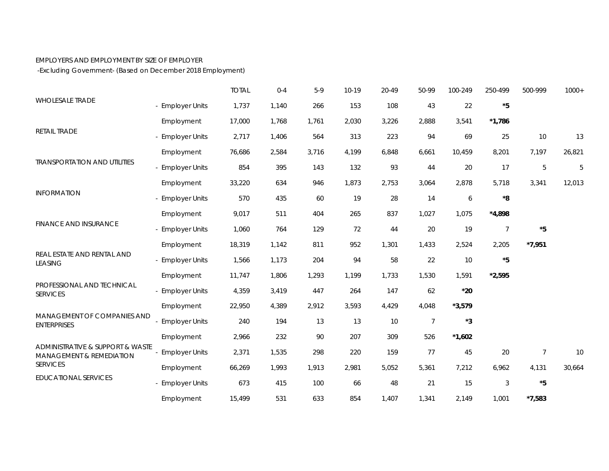## EMPLOYERS AND EMPLOYMENT BY SIZE OF EMPLOYER

-Excluding Government- (Based on December 2018 Employment)

| <b>WHOLESALE TRADE</b>                                                                                                                          |                       | <b>TOTAL</b> | $0 - 4$ | $5-9$ | 10-19  | 20-49 | 50-99          | 100-249     | 250-499          | 500-999        | $1000+$ |
|-------------------------------------------------------------------------------------------------------------------------------------------------|-----------------------|--------------|---------|-------|--------|-------|----------------|-------------|------------------|----------------|---------|
|                                                                                                                                                 | - Employer Units      | 1,737        | 1,140   | 266   | 153    | 108   | 43             | 22          | $^\star 5$       |                |         |
| RETAIL TRADE                                                                                                                                    | Employment            | 17,000       | 1,768   | 1,761 | 2,030  | 3,226 | 2,888          | 3,541       | $*1,786$         |                |         |
|                                                                                                                                                 | - Employer Units      | 2,717        | 1,406   | 564   | 313    | 223   | 94             | 69          | 25               | 10             | 13      |
| <b>TRANSPORTATION AND UTILITIES</b>                                                                                                             | Employment            | 76,686       | 2,584   | 3,716 | 4,199  | 6,848 | 6,661          | 10,459      | 8,201            | 7,197          | 26,821  |
|                                                                                                                                                 | - Employer Units      | 854          | 395     | 143   | 132    | 93    | 44             | 20          | 17               | 5              | 5       |
| <b>INFORMATION</b><br><b>FINANCE AND INSURANCE</b>                                                                                              | Employment            | 33,220       | 634     | 946   | 1,873  | 2,753 | 3,064          | 2,878       | 5,718            | 3,341          | 12,013  |
|                                                                                                                                                 | - Employer Units      | 570          | 435     | 60    | 19     | 28    | 14             | 6           | *8               |                |         |
|                                                                                                                                                 | Employment            | 9,017        | 511     | 404   | 265    | 837   | 1,027          | 1,075       | $*4,898$         |                |         |
|                                                                                                                                                 | - Employer Units      | 1,060        | 764     | 129   | $72\,$ | 44    | 20             | 19          | $\boldsymbol{7}$ | $^\star 5$     |         |
| REAL ESTATE AND RENTAL AND<br><b>LEASING</b>                                                                                                    | Employment            | 18,319       | 1,142   | 811   | 952    | 1,301 | 1,433          | 2,524       | 2,205            | $*7,951$       |         |
|                                                                                                                                                 | - Employer Units      | 1,566        | 1,173   | 204   | 94     | 58    | 22             | 10          | $*5$             |                |         |
|                                                                                                                                                 | Employment            | 11,747       | 1,806   | 1,293 | 1,199  | 1,733 | 1,530          | 1,591       | $*2,595$         |                |         |
| PROFESSIONAL AND TECHNICAL<br><b>SERVICES</b>                                                                                                   | - Employer Units      | 4,359        | 3,419   | 447   | 264    | 147   | 62             | $*20$       |                  |                |         |
|                                                                                                                                                 | Employment            | 22,950       | 4,389   | 2,912 | 3,593  | 4,429 | 4,048          | $*3,579$    |                  |                |         |
| MANAGEMENT OF COMPANIES AND<br><b>ENTERPRISES</b><br>ADMINISTRATIVE & SUPPORT & WASTE<br><b>MANAGEMENT &amp; REMEDIATION</b><br><b>SERVICES</b> | - Employer Units      | 240          | 194     | 13    | 13     | 10    | $\overline{7}$ | $^{\star}3$ |                  |                |         |
|                                                                                                                                                 | Employment            | 2,966        | 232     | 90    | 207    | 309   | 526            | $*1,602$    |                  |                |         |
|                                                                                                                                                 | <b>Employer Units</b> | 2,371        | 1,535   | 298   | 220    | 159   | 77             | 45          | 20               | $\overline{7}$ | 10      |
|                                                                                                                                                 | Employment            | 66,269       | 1,993   | 1,913 | 2,981  | 5,052 | 5,361          | 7,212       | 6,962            | 4,131          | 30,664  |
| <b>EDUCATIONAL SERVICES</b>                                                                                                                     | - Employer Units      | 673          | 415     | 100   | 66     | 48    | 21             | 15          | $\sqrt{3}$       | $*5$           |         |
|                                                                                                                                                 | Employment            | 15,499       | 531     | 633   | 854    | 1,407 | 1,341          | 2,149       | 1,001            | $*7,583$       |         |